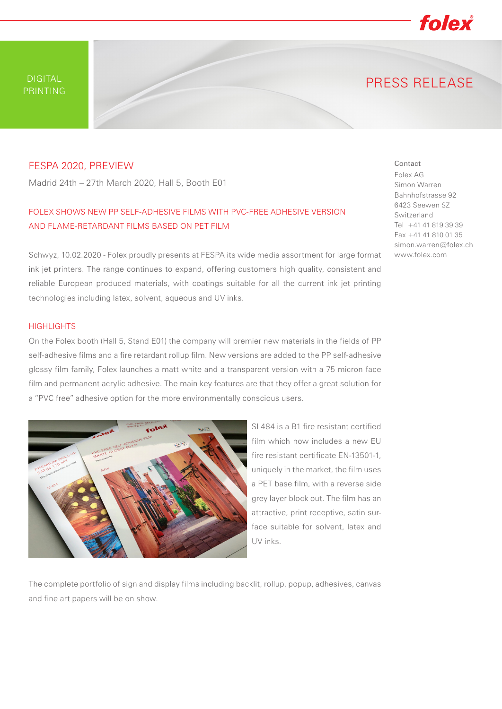DIGITAL PRINTING PRESS RELEASE

## FESPA 2020, PREVIEW

Madrid 24th – 27th March 2020, Hall 5, Booth E01

# FOLEX SHOWS NEW PP SELF-ADHESIVE FILMS WITH PVC-FREE ADHESIVE VERSION AND FLAME-RETARDANT FILMS BASED ON PET FILM

Schwyz, 10.02.2020 - Folex proudly presents at FESPA its wide media assortment for large format ink jet printers. The range continues to expand, offering customers high quality, consistent and reliable European produced materials, with coatings suitable for all the current ink jet printing technologies including latex, solvent, aqueous and UV inks.

### **HIGHLIGHTS**

On the Folex booth (Hall 5, Stand E01) the company will premier new materials in the fields of PP self-adhesive films and a fire retardant rollup film. New versions are added to the PP self-adhesive glossy film family, Folex launches a matt white and a transparent version with a 75 micron face film and permanent acrylic adhesive. The main key features are that they offer a great solution for a "PVC free" adhesive option for the more environmentally conscious users.

> SI 484 is a B1 fire resistant certified film which now includes a new EU fire resistant certificate EN-13501-1, uniquely in the market, the film uses a PET base film, with a reverse side grey layer block out. The film has an attractive, print receptive, satin surface suitable for solvent, latex and UV inks.

The complete portfolio of sign and display films including backlit, rollup, popup, adhesives, canvas and fine art papers will be on show.

#### Simon Warren Bahnhofstrasse 92 6423 Seewen SZ

Contact Folex AG

Switzerland Tel +41 41 819 39 39 Fax +41 41 810 01 35 simon.warren@folex.ch www.folex.com